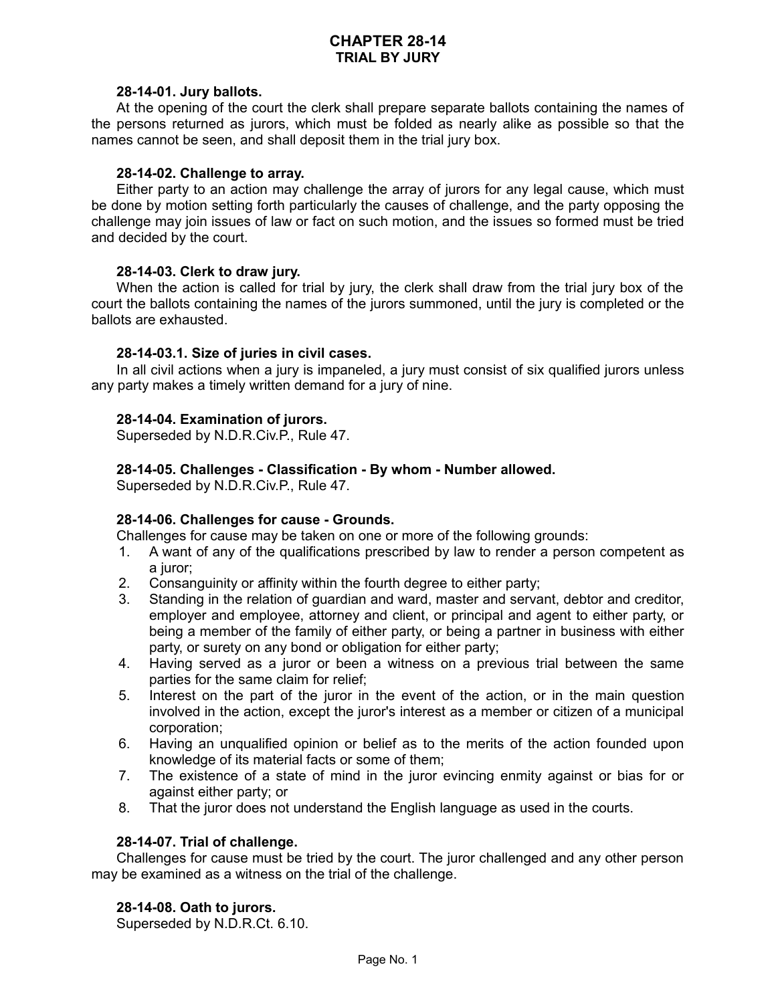# **CHAPTER 28-14 TRIAL BY JURY**

#### **28-14-01. Jury ballots.**

At the opening of the court the clerk shall prepare separate ballots containing the names of the persons returned as jurors, which must be folded as nearly alike as possible so that the names cannot be seen, and shall deposit them in the trial jury box.

#### **28-14-02. Challenge to array.**

Either party to an action may challenge the array of jurors for any legal cause, which must be done by motion setting forth particularly the causes of challenge, and the party opposing the challenge may join issues of law or fact on such motion, and the issues so formed must be tried and decided by the court.

## **28-14-03. Clerk to draw jury.**

When the action is called for trial by jury, the clerk shall draw from the trial jury box of the court the ballots containing the names of the jurors summoned, until the jury is completed or the ballots are exhausted.

## **28-14-03.1. Size of juries in civil cases.**

In all civil actions when a jury is impaneled, a jury must consist of six qualified jurors unless any party makes a timely written demand for a jury of nine.

## **28-14-04. Examination of jurors.**

Superseded by N.D.R.Civ.P., Rule 47.

## **28-14-05. Challenges - Classification - By whom - Number allowed.**

Superseded by N.D.R.Civ.P., Rule 47.

## **28-14-06. Challenges for cause - Grounds.**

Challenges for cause may be taken on one or more of the following grounds:

- 1. A want of any of the qualifications prescribed by law to render a person competent as a juror;
- 2. Consanguinity or affinity within the fourth degree to either party;
- 3. Standing in the relation of guardian and ward, master and servant, debtor and creditor, employer and employee, attorney and client, or principal and agent to either party, or being a member of the family of either party, or being a partner in business with either party, or surety on any bond or obligation for either party;
- 4. Having served as a juror or been a witness on a previous trial between the same parties for the same claim for relief;
- 5. Interest on the part of the juror in the event of the action, or in the main question involved in the action, except the juror's interest as a member or citizen of a municipal corporation;
- 6. Having an unqualified opinion or belief as to the merits of the action founded upon knowledge of its material facts or some of them;
- 7. The existence of a state of mind in the juror evincing enmity against or bias for or against either party; or
- 8. That the juror does not understand the English language as used in the courts.

## **28-14-07. Trial of challenge.**

Challenges for cause must be tried by the court. The juror challenged and any other person may be examined as a witness on the trial of the challenge.

#### **28-14-08. Oath to jurors.**

Superseded by N.D.R.Ct. 6.10.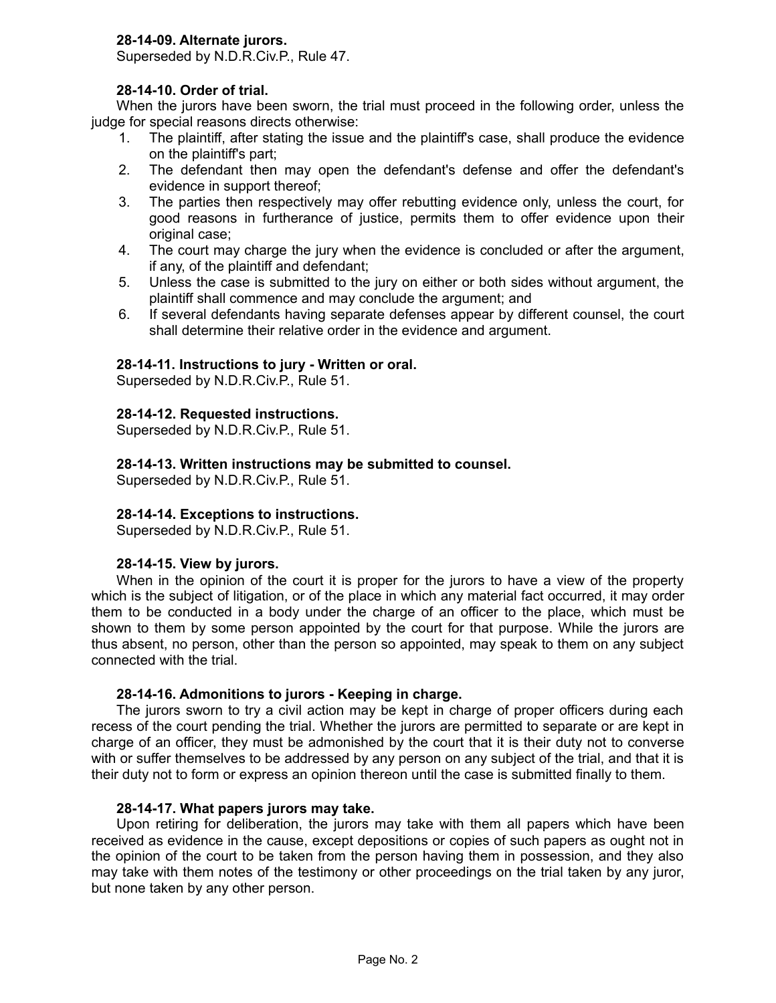# **28-14-09. Alternate jurors.**

Superseded by N.D.R.Civ.P., Rule 47.

## **28-14-10. Order of trial.**

When the jurors have been sworn, the trial must proceed in the following order, unless the judge for special reasons directs otherwise:

- 1. The plaintiff, after stating the issue and the plaintiff's case, shall produce the evidence on the plaintiff's part;
- 2. The defendant then may open the defendant's defense and offer the defendant's evidence in support thereof;
- 3. The parties then respectively may offer rebutting evidence only, unless the court, for good reasons in furtherance of justice, permits them to offer evidence upon their original case;
- 4. The court may charge the jury when the evidence is concluded or after the argument, if any, of the plaintiff and defendant;
- 5. Unless the case is submitted to the jury on either or both sides without argument, the plaintiff shall commence and may conclude the argument; and
- 6. If several defendants having separate defenses appear by different counsel, the court shall determine their relative order in the evidence and argument.

## **28-14-11. Instructions to jury - Written or oral.**

Superseded by N.D.R.Civ.P., Rule 51.

#### **28-14-12. Requested instructions.**

Superseded by N.D.R.Civ.P., Rule 51.

## **28-14-13. Written instructions may be submitted to counsel.**

Superseded by N.D.R.Civ.P., Rule 51.

#### **28-14-14. Exceptions to instructions.**

Superseded by N.D.R.Civ.P., Rule 51.

#### **28-14-15. View by jurors.**

When in the opinion of the court it is proper for the jurors to have a view of the property which is the subject of litigation, or of the place in which any material fact occurred, it may order them to be conducted in a body under the charge of an officer to the place, which must be shown to them by some person appointed by the court for that purpose. While the jurors are thus absent, no person, other than the person so appointed, may speak to them on any subject connected with the trial.

#### **28-14-16. Admonitions to jurors - Keeping in charge.**

The jurors sworn to try a civil action may be kept in charge of proper officers during each recess of the court pending the trial. Whether the jurors are permitted to separate or are kept in charge of an officer, they must be admonished by the court that it is their duty not to converse with or suffer themselves to be addressed by any person on any subject of the trial, and that it is their duty not to form or express an opinion thereon until the case is submitted finally to them.

#### **28-14-17. What papers jurors may take.**

Upon retiring for deliberation, the jurors may take with them all papers which have been received as evidence in the cause, except depositions or copies of such papers as ought not in the opinion of the court to be taken from the person having them in possession, and they also may take with them notes of the testimony or other proceedings on the trial taken by any juror, but none taken by any other person.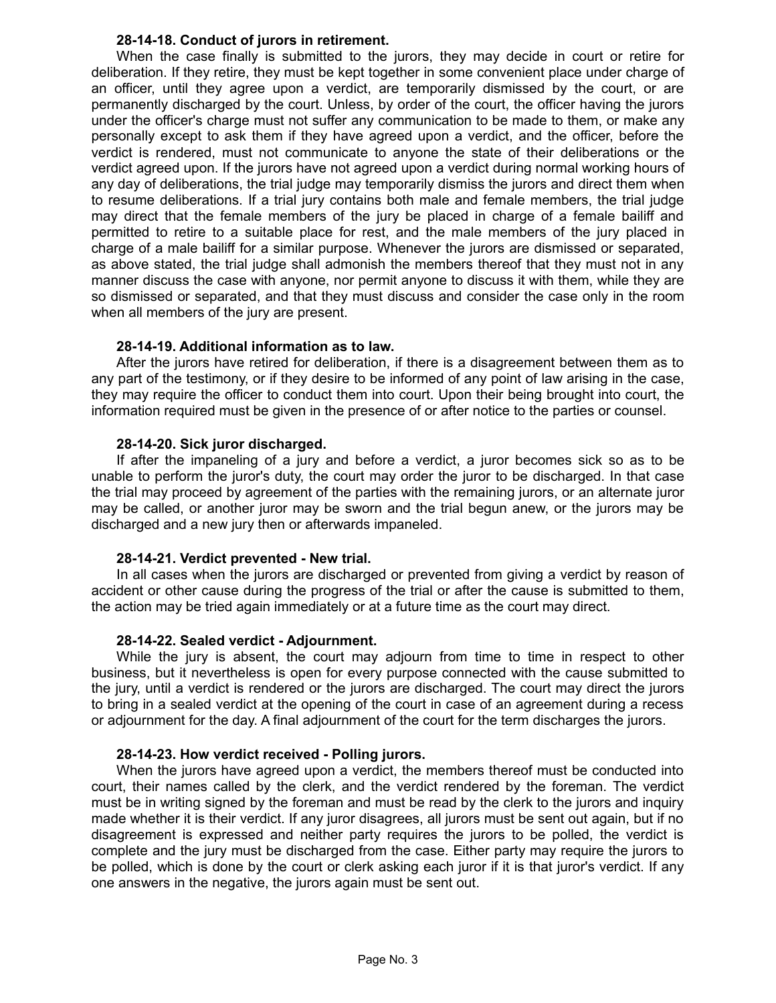## **28-14-18. Conduct of jurors in retirement.**

When the case finally is submitted to the jurors, they may decide in court or retire for deliberation. If they retire, they must be kept together in some convenient place under charge of an officer, until they agree upon a verdict, are temporarily dismissed by the court, or are permanently discharged by the court. Unless, by order of the court, the officer having the jurors under the officer's charge must not suffer any communication to be made to them, or make any personally except to ask them if they have agreed upon a verdict, and the officer, before the verdict is rendered, must not communicate to anyone the state of their deliberations or the verdict agreed upon. If the jurors have not agreed upon a verdict during normal working hours of any day of deliberations, the trial judge may temporarily dismiss the jurors and direct them when to resume deliberations. If a trial jury contains both male and female members, the trial judge may direct that the female members of the jury be placed in charge of a female bailiff and permitted to retire to a suitable place for rest, and the male members of the jury placed in charge of a male bailiff for a similar purpose. Whenever the jurors are dismissed or separated, as above stated, the trial judge shall admonish the members thereof that they must not in any manner discuss the case with anyone, nor permit anyone to discuss it with them, while they are so dismissed or separated, and that they must discuss and consider the case only in the room when all members of the jury are present.

## **28-14-19. Additional information as to law.**

After the jurors have retired for deliberation, if there is a disagreement between them as to any part of the testimony, or if they desire to be informed of any point of law arising in the case, they may require the officer to conduct them into court. Upon their being brought into court, the information required must be given in the presence of or after notice to the parties or counsel.

## **28-14-20. Sick juror discharged.**

If after the impaneling of a jury and before a verdict, a juror becomes sick so as to be unable to perform the juror's duty, the court may order the juror to be discharged. In that case the trial may proceed by agreement of the parties with the remaining jurors, or an alternate juror may be called, or another juror may be sworn and the trial begun anew, or the jurors may be discharged and a new jury then or afterwards impaneled.

## **28-14-21. Verdict prevented - New trial.**

In all cases when the jurors are discharged or prevented from giving a verdict by reason of accident or other cause during the progress of the trial or after the cause is submitted to them, the action may be tried again immediately or at a future time as the court may direct.

#### **28-14-22. Sealed verdict - Adjournment.**

While the jury is absent, the court may adjourn from time to time in respect to other business, but it nevertheless is open for every purpose connected with the cause submitted to the jury, until a verdict is rendered or the jurors are discharged. The court may direct the jurors to bring in a sealed verdict at the opening of the court in case of an agreement during a recess or adjournment for the day. A final adjournment of the court for the term discharges the jurors.

#### **28-14-23. How verdict received - Polling jurors.**

When the jurors have agreed upon a verdict, the members thereof must be conducted into court, their names called by the clerk, and the verdict rendered by the foreman. The verdict must be in writing signed by the foreman and must be read by the clerk to the jurors and inquiry made whether it is their verdict. If any juror disagrees, all jurors must be sent out again, but if no disagreement is expressed and neither party requires the jurors to be polled, the verdict is complete and the jury must be discharged from the case. Either party may require the jurors to be polled, which is done by the court or clerk asking each juror if it is that juror's verdict. If any one answers in the negative, the jurors again must be sent out.